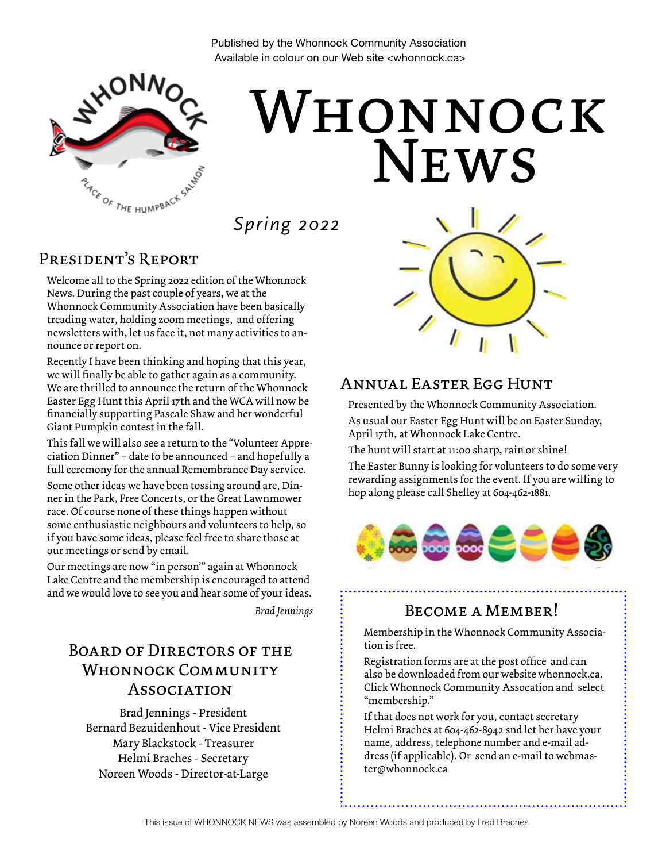Published by the Whonnock Community Association Available in colour on our Web site <whonnock.ca>



# **NEWS** Whonnock

*Spring 2022*

#### President's Report

Welcome all to the Spring 2022 edition of the Whonnock News. During the past couple of years, we at the Whonnock Community Association have been basically treading water, holding zoom meetings, and offering newsletters with, let us face it, not many activities to announce or report on.

Recently I have been thinking and hoping that this year, we will finally be able to gather again as a community. We are thrilled to announce the return of the Whonnock Easter Egg Hunt this April 17th and the WCA will now be financially supporting Pascale Shaw and her wonderful Giant Pumpkin contest in the fall.

This fall we will also see a return to the "Volunteer Appreciation Dinner" – date to be announced – and hopefully a full ceremony for the annual Remembrance Day service.

Some other ideas we have been tossing around are, Dinner in the Park, Free Concerts, or the Great Lawnmower race. Of course none of these things happen without some enthusiastic neighbours and volunteers to help, so if you have some ideas, please feel free to share those at our meetings or send by email.

Our meetings are now "in person'" again at Whonnock Lake Centre and the membership is encouraged to attend and we would love to see you and hear some of your ideas.

*Brad Jennings*

## Board of Directors of the Whonnock Community **ASSOCIATION**

Brad Jennings - President Bernard Bezuidenhout - Vice President Mary Blackstock - Treasurer Helmi Braches - Secretary Noreen Woods - Director-at-Large



#### Annual Easter Egg Hunt

Presented by the Whonnock Community Association.

As usual our Easter Egg Hunt will be on Easter Sunday, April 17th, at Whonnock Lake Centre.

The hunt will start at 11:00 sharp, rain or shine!

The Easter Bunny is looking for volunteers to do some very rewarding assignments for the event. If you are willing to hop along please call Shelley at 604-462-1881.



#### Become a Member!

Membership in the Whonnock Community Association is free.

Registration forms are at the post office and can also be downloaded from our website whonnock.ca. Click Whonnock Community Assocation and select "membership."

If that does not work for you, contact secretary Helmi Braches at 604-462-8942 snd let her have your name, address, telephone number and e-mail address (if applicable). Or send an e-mail to webmaster@whonnock.ca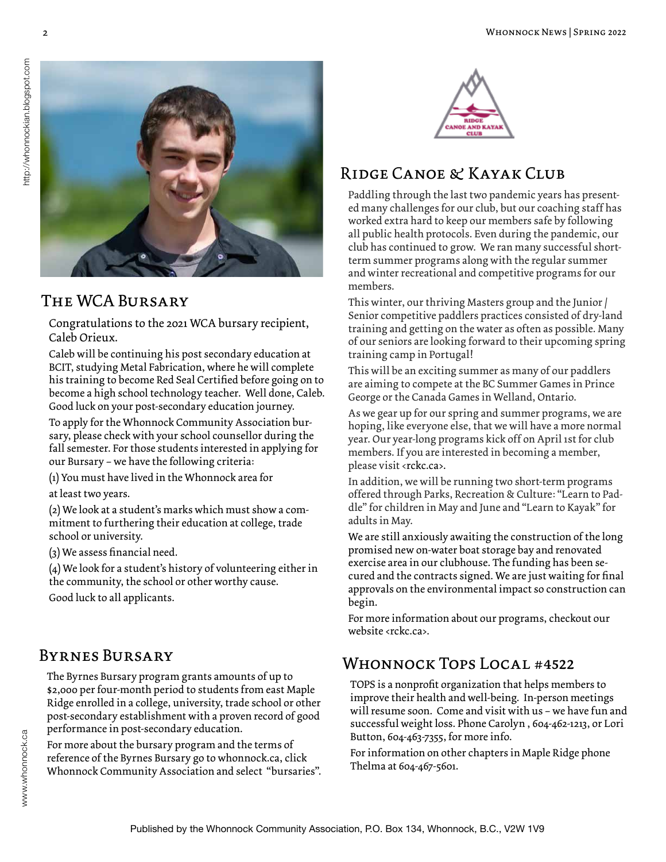

## The WCA Bursary

Congratulations to the 2021 WCA bursary recipient, Caleb Orieux.

Caleb will be continuing his post secondary education at BCIT, studying Metal Fabrication, where he will complete his training to become Red Seal Certified before going on to become a high school technology teacher. Well done, Caleb. Good luck on your post-secondary education journey.

To apply for the Whonnock Community Association bursary, please check with your school counsellor during the fall semester. For those students interested in applying for our Bursary – we have the following criteria:

(1) You must have lived in the Whonnock area for

at least two years.

(2) We look at a student's marks which must show a commitment to furthering their education at college, trade school or university.

(3) We assess financial need.

(4) We look for a student's history of volunteering either in the community, the school or other worthy cause.

Good luck to all applicants.

#### Byrnes Bursary

The Byrnes Bursary program grants amounts of up to \$2,000 per four-month period to students from east Maple Ridge enrolled in a college, university, trade school or other post-secondary establishment with a proven record of good performance in post-secondary education.

For more about the bursary program and the terms of reference of the Byrnes Bursary go to whonnock.ca, click Whonnock Community Association and select "bursaries".



# Ridge Canoe & Kayak Club

Paddling through the last two pandemic years has presented many challenges for our club, but our coaching staff has worked extra hard to keep our members safe by following all public health protocols. Even during the pandemic, our club has continued to grow. We ran many successful shortterm summer programs along with the regular summer and winter recreational and competitive programs for our members.

This winter, our thriving Masters group and the Junior / Senior competitive paddlers practices consisted of dry-land training and getting on the water as often as possible. Many of our seniors are looking forward to their upcoming spring training camp in Portugal!

This will be an exciting summer as many of our paddlers are aiming to compete at the BC Summer Games in Prince George or the Canada Games in Welland, Ontario.

As we gear up for our spring and summer programs, we are hoping, like everyone else, that we will have a more normal year. Our year-long programs kick off on April 1st for club members. If you are interested in becoming a member, please visit <rckc.ca>.

In addition, we will be running two short-term programs offered through Parks, Recreation & Culture: "Learn to Paddle" for children in May and June and "Learn to Kayak" for adults in May.

We are still anxiously awaiting the construction of the long promised new on-water boat storage bay and renovated exercise area in our clubhouse. The funding has been secured and the contracts signed. We are just waiting for final approvals on the environmental impact so construction can begin.

For more information about our programs, checkout our website <rckc.ca>.

# Whonnock Tops Local #4522

TOPS is a nonprofit organization that helps members to improve their health and well-being. In-person meetings will resume soon. Come and visit with us – we have fun and successful weight loss. Phone Carolyn , 604-462-1213, or Lori Button, 604-463-7355, for more info.

For information on other chapters in Maple Ridge phone Thelma at 604-467-5601.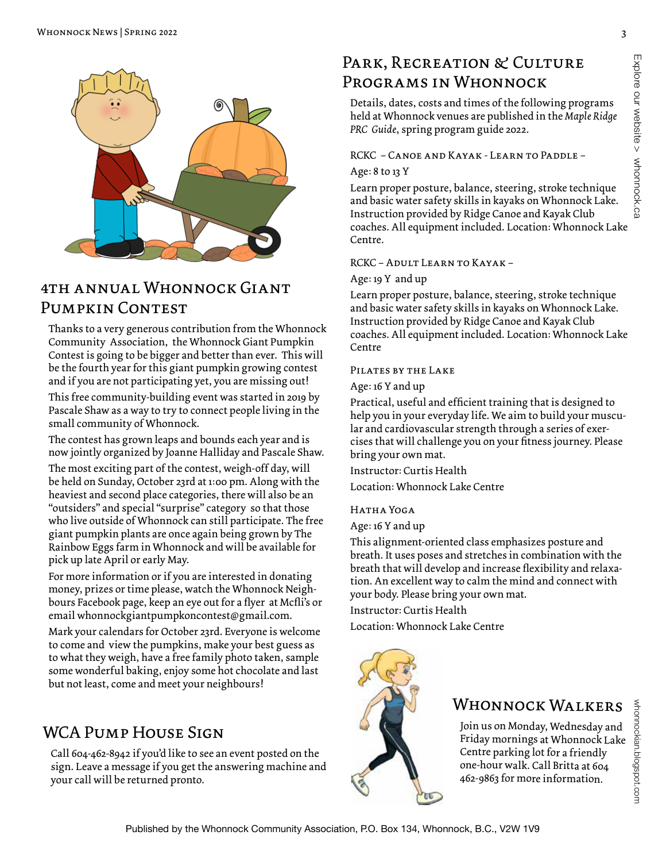

## 4th annual Whonnock Giant Pumpkin Contest

Thanks to a very generous contribution from the Whonnock Community Association, the Whonnock Giant Pumpkin Contest is going to be bigger and better than ever. This will be the fourth year for this giant pumpkin growing contest and if you are not participating yet, you are missing out!

This free community-building event was started in 2019 by Pascale Shaw as a way to try to connect people living in the small community of Whonnock.

The contest has grown leaps and bounds each year and is now jointly organized by Joanne Halliday and Pascale Shaw.

The most exciting part of the contest, weigh-off day, will be held on Sunday, October 23rd at 1:00 pm. Along with the heaviest and second place categories, there will also be an "outsiders" and special "surprise" category so that those who live outside of Whonnock can still participate. The free giant pumpkin plants are once again being grown by The Rainbow Eggs farm in Whonnock and will be available for pick up late April or early May.

For more information or if you are interested in donating money, prizes or time please, watch the Whonnock Neighbours Facebook page, keep an eye out for a flyer at Mcfli's or email whonnockgiantpumpkoncontest@gmail.com.

Mark your calendars for October 23rd. Everyone is welcome to come and view the pumpkins, make your best guess as to what they weigh, have a free family photo taken, sample some wonderful baking, enjoy some hot chocolate and last but not least, come and meet your neighbours!

# WCA PUMP HOUSE SIGN

Call 604-462-8942 if you'd like to see an event posted on the sign. Leave a message if you get the answering machine and your call will be returned pronto.

## PARK, RECREATION & CULTURE Programs in Whonnock

Details, dates, costs and times of the following programs held at Whonnock venues are published in the *Maple Ridge PRC Guide*, spring program guide 2022.

#### RCKC – Canoe and Kayak - Learn to Paddle –

#### Age: 8 to 13 Y

Learn proper posture, balance, steering, stroke technique and basic water safety skills in kayaks on Whonnock Lake. Instruction provided by Ridge Canoe and Kayak Club coaches. All equipment included. Location: Whonnock Lake Centre.

#### RCKC – Adult Learn to Kayak –

#### Age: 19 Y and up

Learn proper posture, balance, steering, stroke technique and basic water safety skills in kayaks on Whonnock Lake. Instruction provided by Ridge Canoe and Kayak Club coaches. All equipment included. Location: Whonnock Lake Centre

#### Pilates by the Lake

Age: 16 Y and up

Practical, useful and efficient training that is designed to help you in your everyday life. We aim to build your muscular and cardiovascular strength through a series of exercises that will challenge you on your fitness journey. Please bring your own mat.

Instructor: Curtis Health

Location: Whonnock Lake Centre

#### HATHA YOGA

Age: 16 Y and up

This alignment-oriented class emphasizes posture and breath. It uses poses and stretches in combination with the breath that will develop and increase flexibility and relaxation. An excellent way to calm the mind and connect with your body. Please bring your own mat.

Instructor: Curtis Health

Location: Whonnock Lake Centre



#### Whonnock Walkers

Join us on Monday, Wednesday and Friday mornings at Whonnock Lake Centre parking lot for a friendly one-hour walk. Call Britta at 604 462-9863 for more information.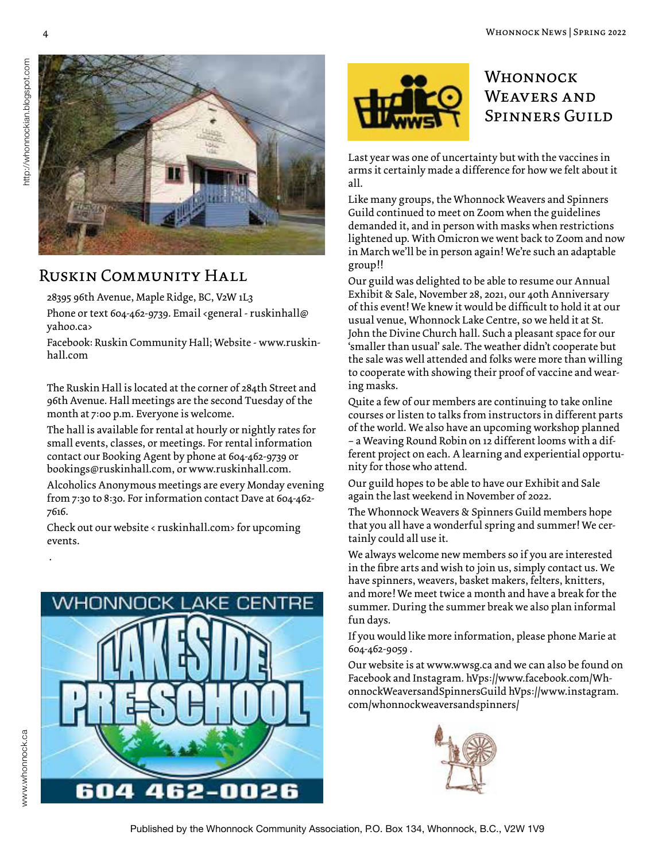

#### Ruskin Community Hall

28395 96th Avenue, Maple Ridge, BC, V2W 1L3

Phone or text 604-462-9739. Email <general - ruskinhall@ yahoo.ca>

Facebook: Ruskin Community Hall; Website - www.ruskinhall.com

The Ruskin Hall is located at the corner of 284th Street and 96th Avenue. Hall meetings are the second Tuesday of the month at 7:00 p.m. Everyone is welcome.

The hall is available for rental at hourly or nightly rates for small events, classes, or meetings. For rental information contact our Booking Agent by phone at 604-462-9739 or bookings@ruskinhall.com, or www.ruskinhall.com.

Alcoholics Anonymous meetings are every Monday evening from 7:30 to 8:30. For information contact Dave at 604-462- 7616.

Check out our website < ruskinhall.com> for upcoming events.





## **WHONNOCK** WEAVERS AND Spinners Guild

Last year was one of uncertainty but with the vaccines in arms it certainly made a difference for how we felt about it all.

Like many groups, the Whonnock Weavers and Spinners Guild continued to meet on Zoom when the guidelines demanded it, and in person with masks when restrictions lightened up. With Omicron we went back to Zoom and now in March we'll be in person again! We're such an adaptable group!!

Our guild was delighted to be able to resume our Annual Exhibit & Sale, November 28, 2021, our 40th Anniversary of this event! We knew it would be difficult to hold it at our usual venue, Whonnock Lake Centre, so we held it at St. John the Divine Church hall. Such a pleasant space for our 'smaller than usual' sale. The weather didn't cooperate but the sale was well attended and folks were more than willing to cooperate with showing their proof of vaccine and wearing masks.

Quite a few of our members are continuing to take online courses or listen to talks from instructors in different parts of the world. We also have an upcoming workshop planned – a Weaving Round Robin on 12 different looms with a different project on each. A learning and experiential opportunity for those who attend.

Our guild hopes to be able to have our Exhibit and Sale again the last weekend in November of 2022.

The Whonnock Weavers & Spinners Guild members hope that you all have a wonderful spring and summer! We certainly could all use it.

We always welcome new members so if you are interested in the fibre arts and wish to join us, simply contact us. We have spinners, weavers, basket makers, felters, knitters, and more! We meet twice a month and have a break for the summer. During the summer break we also plan informal fun days.

If you would like more information, please phone Marie at 604-462-9059 .

Our website is at www.wwsg.ca and we can also be found on Facebook and Instagram. hVps://www.facebook.com/WhonnockWeaversandSpinnersGuild hVps://www.instagram. com/whonnockweaversandspinners/



.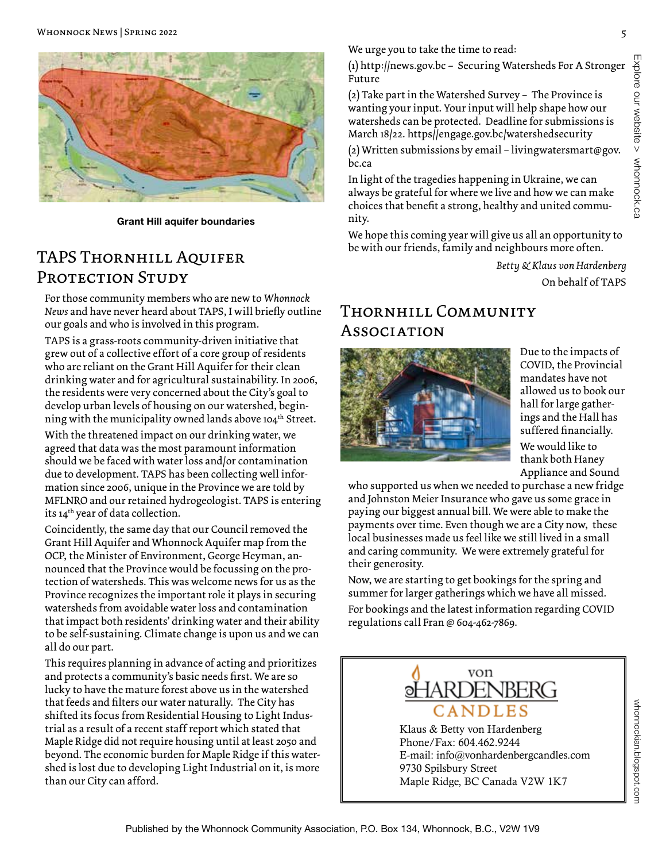

**Grant Hill aquifer boundaries**

#### TAPS Thornhill Aquifer PROTECTION STUDY

For those community members who are new to *Whonnock News* and have never heard about TAPS, I will briefly outline our goals and who is involved in this program.

TAPS is a grass-roots community-driven initiative that grew out of a collective effort of a core group of residents who are reliant on the Grant Hill Aquifer for their clean drinking water and for agricultural sustainability. In 2006, the residents were very concerned about the City's goal to develop urban levels of housing on our watershed, beginning with the municipality owned lands above 104<sup>th</sup> Street. With the threatened impact on our drinking water, we agreed that data was the most paramount information should we be faced with water loss and/or contamination due to development. TAPS has been collecting well information since 2006, unique in the Province we are told by MFLNRO and our retained hydrogeologist. TAPS is entering its 14<sup>th</sup> year of data collection.

Coincidently, the same day that our Council removed the Grant Hill Aquifer and Whonnock Aquifer map from the OCP, the Minister of Environment, George Heyman, announced that the Province would be focussing on the protection of watersheds. This was welcome news for us as the Province recognizes the important role it plays in securing watersheds from avoidable water loss and contamination that impact both residents' drinking water and their ability to be self-sustaining. Climate change is upon us and we can all do our part.

This requires planning in advance of acting and prioritizes and protects a community's basic needs first. We are so lucky to have the mature forest above us in the watershed that feeds and filters our water naturally. The City has shifted its focus from Residential Housing to Light Industrial as a result of a recent staff report which stated that Maple Ridge did not require housing until at least 2050 and beyond. The economic burden for Maple Ridge if this watershed is lost due to developing Light Industrial on it, is more than our City can afford.

We urge you to take the time to read:

Explore our website > whonnock.ca Explore our website > whonnock.ca

(1) http://news.gov.bc – Securing Watersheds For A Stronger Future

(2) Take part in the Watershed Survey – The Province is wanting your input. Your input will help shape how our watersheds can be protected. Deadline for submissions is March 18/22. https//engage.gov.bc/watershedsecurity

(2) Written submissions by email – livingwatersmart@gov. bc.ca

In light of the tragedies happening in Ukraine, we can always be grateful for where we live and how we can make choices that benefit a strong, healthy and united community.

We hope this coming year will give us all an opportunity to be with our friends, family and neighbours more often.

> *Betty & Klaus von Hardenberg* On behalf of TAPS

## Thornhill Community **Association**



Due to the impacts of COVID, the Provincial mandates have not allowed us to book our hall for large gatherings and the Hall has suffered financially. We would like to thank both Haney Appliance and Sound

who supported us when we needed to purchase a new fridge and Johnston Meier Insurance who gave us some grace in paying our biggest annual bill. We were able to make the payments over time. Even though we are a City now, these local businesses made us feel like we still lived in a small and caring community. We were extremely grateful for their generosity.

Now, we are starting to get bookings for the spring and summer for larger gatherings which we have all missed. For bookings and the latest information regarding COVID regulations call Fran @ 604-462-7869.



Klaus & Betty von Hardenberg Phone/Fax: 604.462.9244 E-mail: info@vonhardenbergcandles.com 9730 Spilsbury Street Maple Ridge, BC Canada V2W 1K7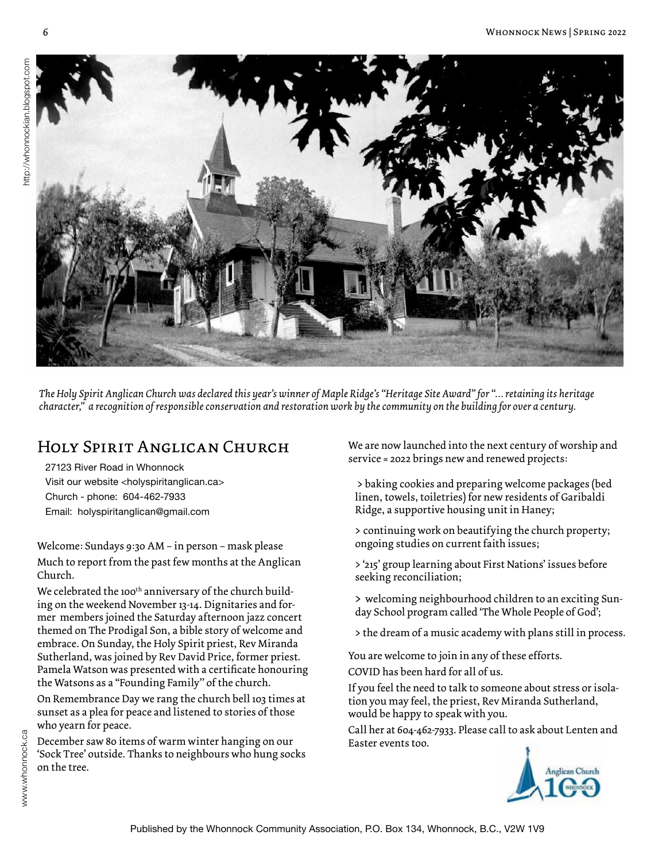

*The Holy Spirit Anglican Church was declared this year's winner of Maple Ridge's "Heritage Site Award" for "… retaining its heritage character," a recognition of responsible conservation and restoration work by the community on the building for over a century.*

# Holy Spirit Anglican Church

27123 River Road in Whonnock Visit our website <holyspiritanglican.ca> Church - phone: 604-462-7933 Email: holyspiritanglican@gmail.com

Welcome: Sundays 9:30 AM – in person – mask please Much to report from the past few months at the Anglican Church.

We celebrated the 100<sup>th</sup> anniversary of the church building on the weekend November 13-14. Dignitaries and former members joined the Saturday afternoon jazz concert themed on The Prodigal Son, a bible story of welcome and embrace. On Sunday, the Holy Spirit priest, Rev Miranda Sutherland, was joined by Rev David Price, former priest. Pamela Watson was presented with a certificate honouring the Watsons as a "Founding Family'' of the church.

On Remembrance Day we rang the church bell 103 times at sunset as a plea for peace and listened to stories of those who yearn for peace.

December saw 80 items of warm winter hanging on our 'Sock Tree' outside. Thanks to neighbours who hung socks on the tree.

We are now launched into the next century of worship and service = 2022 brings new and renewed projects:

> baking cookies and preparing welcome packages (bed linen, towels, toiletries) for new residents of Garibaldi Ridge, a supportive housing unit in Haney;

> continuing work on beautifying the church property; ongoing studies on current faith issues;

> '215' group learning about First Nations' issues before seeking reconciliation;

> welcoming neighbourhood children to an exciting Sunday School program called 'The Whole People of God';

> the dream of a music academy with plans still in process.

You are welcome to join in any of these efforts. COVID has been hard for all of us.

If you feel the need to talk to someone about stress or isolation you may feel, the priest, Rev Miranda Sutherland, would be happy to speak with you.

Call her at 604-462-7933. Please call to ask about Lenten and Easter events too.

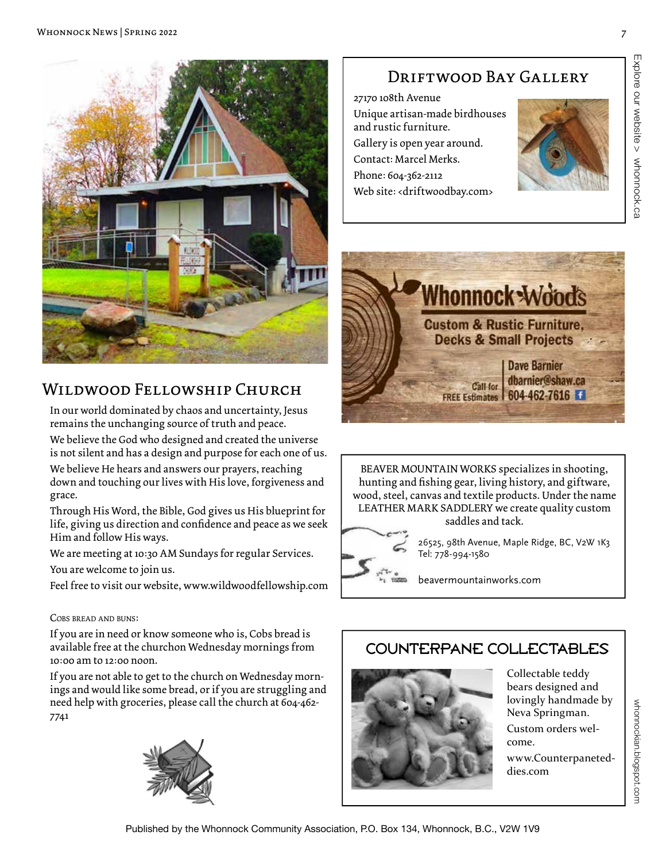

## Wildwood Fellowship Church

In our world dominated by chaos and uncertainty, Jesus remains the unchanging source of truth and peace.

We believe the God who designed and created the universe is not silent and has a design and purpose for each one of us.

We believe He hears and answers our prayers, reaching down and touching our lives with His love, forgiveness and grace.

Through His Word, the Bible, God gives us His blueprint for life, giving us direction and confidence and peace as we seek Him and follow His ways.

We are meeting at 10:30 AM Sundays for regular Services.

You are welcome to join us.

Feel free to visit our website, www.wildwoodfellowship.com

#### Cobs bread and buns:

If you are in need or know someone who is, Cobs bread is available free at the churchon Wednesday mornings from 10:00 am to 12:00 noon.

If you are not able to get to the church on Wednesday mornings and would like some bread, or if you are struggling and need help with groceries, please call the church at 604-462- 7741



# DRIFTWOOD BAY GALLERY

27170 108th Avenue Unique artisan-made birdhouses and rustic furniture. Gallery is open year around. Contact: Marcel Merks. Phone: 604-362-2112 Web site: <driftwoodbay.com>





BEAVER MOUNTAIN WORKS specializes in shooting, hunting and fishing gear, living history, and giftware, wood, steel, canvas and textile products. Under the name LEATHER MARK SADDLERY we create quality custom





26525, 98th Avenue, Maple Ridge, BC, V2W 1K3 Tel: 778-994-1580

beavermountainworks.com

# COUNTERPANE COLLECTABLES



Collectable teddy bears designed and lovingly handmade by Neva Springman. Custom orders welcome. www.Counterpaneteddies.com

whonnockian.blogspot.com

whonnockian.blogspot.com